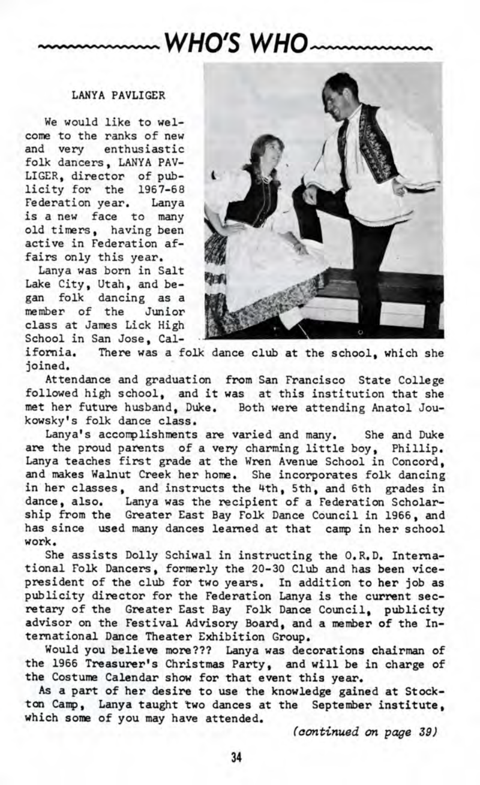## **WHO'S WHO**

## LANYA PAVLIGER

We would like to welcome to the ranks of new and very enthusiastic folk dancers, LANYA PAV-LIGER, director of publicity for the 1967-68 Federation year. Lanya is a new face to many old timers, having been active in Federation affairs only this year.

Lanya was born in Salt Lake City, Utah, and began folk dancing as a member of the Junior class at James Lick High School in San Jose, Cal-



ifornia. There was a folk dance club at the school, which she joined.

Attendance and graduation from San Francisco State College followed high school, and it was at this institution that she met her future husband, Duke. Both were attending Anatol Joukowsky's folk dance class,

Lanya's accomplishments are varied and many. She and Duke are the proud parents of a very charming little boy, Phillip. Lanya teaches first grade at the Wren Avenue School in Concord, and makes Walnut Creek her home. She incorporates folk dancing in her classes, and instructs the 4th, 5th, and 6th grades in dance, also. Lanya was the recipient of a Federation Scholarship from the Greater East Bay Folk Dance Council in 1966, and has since used many dances learned at that camp in her school work.

She assists Dolly Schiwal in instructing the O.K.D. International Folk Dancers, formerly the 20-30 Club and has been vicepresident of the club for two years. In addition to her job as publicity director for the Federation Lanya is the current secretary of the Greater East Bay Folk Dance Council, publicity advisor on the Festival Advisory Board, and a member of the International Dance Theater Exhibition Group.

Would you believe more??? Lanya was decorations chairman of the 1966 Treasurer's Christmas Party, and will be in charge of the Costume Calendar show for that event this year.

As a part of her desire to use the knowledge gained at Stockton Camp, Lanya taught two dances at the September institute, which some of you may have attended.

*(continued on page 39)*